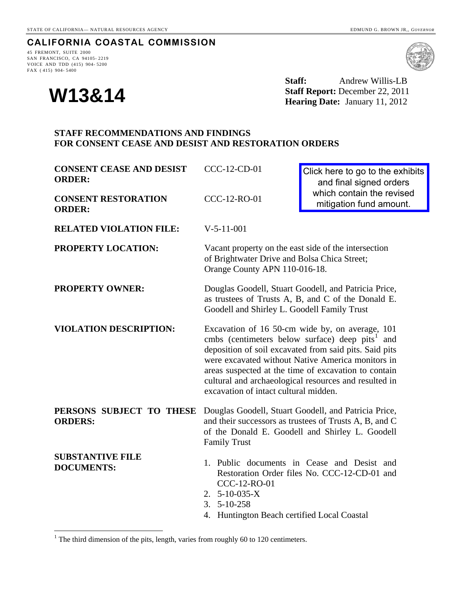## **CALIFORNIA COASTAL COMMISSION**

45 FREMONT, SUITE 2000 SAN FRANCISCO, CA 94105- 2219 VOICE AND TDD (415) 904- 5200 FAX ( 415) 904- 5400

**W13&14** 

**Staff:** Andrew Willis-LB **Staff Report:** December 22, 2011 **Hearing Date:** January 11, 2012

## **STAFF RECOMMENDATIONS AND FINDINGS FOR CONSENT CEASE AND DESIST AND RESTORATION ORDERS**

| <b>CONSENT CEASE AND DESIST</b><br><b>ORDER:</b>                                        | CCC-12-CD-01                                                                                                                                                                                                                                                                                                                                                                            | Click here to go to the exhibits<br>and final signed orders<br>which contain the revised<br>mitigation fund amount.                                               |
|-----------------------------------------------------------------------------------------|-----------------------------------------------------------------------------------------------------------------------------------------------------------------------------------------------------------------------------------------------------------------------------------------------------------------------------------------------------------------------------------------|-------------------------------------------------------------------------------------------------------------------------------------------------------------------|
| <b>CONSENT RESTORATION</b><br><b>ORDER:</b>                                             | CCC-12-RO-01                                                                                                                                                                                                                                                                                                                                                                            |                                                                                                                                                                   |
| <b>RELATED VIOLATION FILE:</b>                                                          | $V-5-11-001$                                                                                                                                                                                                                                                                                                                                                                            |                                                                                                                                                                   |
| PROPERTY LOCATION:                                                                      | Vacant property on the east side of the intersection<br>of Brightwater Drive and Bolsa Chica Street;<br>Orange County APN 110-016-18.                                                                                                                                                                                                                                                   |                                                                                                                                                                   |
| <b>PROPERTY OWNER:</b>                                                                  | Douglas Goodell, Stuart Goodell, and Patricia Price,<br>as trustees of Trusts A, B, and C of the Donald E.<br>Goodell and Shirley L. Goodell Family Trust                                                                                                                                                                                                                               |                                                                                                                                                                   |
| <b>VIOLATION DESCRIPTION:</b>                                                           | Excavation of 16 50-cm wide by, on average, 101<br>cmbs (centimeters below surface) deep pits <sup>1</sup> and<br>deposition of soil excavated from said pits. Said pits<br>were excavated without Native America monitors in<br>areas suspected at the time of excavation to contain<br>cultural and archaeological resources and resulted in<br>excavation of intact cultural midden. |                                                                                                                                                                   |
| PERSONS SUBJECT TO THESE<br><b>ORDERS:</b>                                              | <b>Family Trust</b>                                                                                                                                                                                                                                                                                                                                                                     | Douglas Goodell, Stuart Goodell, and Patricia Price,<br>and their successors as trustees of Trusts A, B, and C<br>of the Donald E. Goodell and Shirley L. Goodell |
| <b>SUBSTANTIVE FILE</b><br><b>DOCUMENTS:</b>                                            | CCC-12-RO-01<br>2. $5-10-035-X$<br>$3.5 - 10 - 258$<br>4. Huntington Beach certified Local Coastal                                                                                                                                                                                                                                                                                      | 1. Public documents in Cease and Desist and<br>Restoration Order files No. CCC-12-CD-01 and                                                                       |
| $1$ The third dimension of the pits, length, varies from roughly 60 to 120 centimeters. |                                                                                                                                                                                                                                                                                                                                                                                         |                                                                                                                                                                   |

<span id="page-0-0"></span> $1$  The third dimension of the pits, length, varies from roughly 60 to 120 centimeters.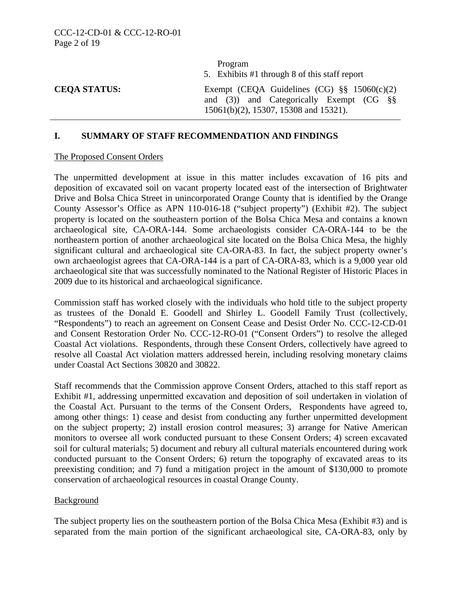|                     | Program<br>5. Exhibits #1 through 8 of this staff report                                                                               |  |
|---------------------|----------------------------------------------------------------------------------------------------------------------------------------|--|
| <b>CEOA STATUS:</b> | Exempt (CEQA Guidelines (CG) $\S\S$ 15060(c)(2)<br>and (3)) and Categorically Exempt (CG $\S$<br>15061(b)(2), 15307, 15308 and 15321). |  |

#### **I. SUMMARY OF STAFF RECOMMENDATION AND FINDINGS**

#### The Proposed Consent Orders

The unpermitted development at issue in this matter includes excavation of 16 pits and deposition of excavated soil on vacant property located east of the intersection of Brightwater Drive and Bolsa Chica Street in unincorporated Orange County that is identified by the Orange County Assessor's Office as APN 110-016-18 ("subject property") (Exhibit #2). The subject property is located on the southeastern portion of the Bolsa Chica Mesa and contains a known archaeological site, CA-ORA-144. Some archaeologists consider CA-ORA-144 to be the northeastern portion of another archaeological site located on the Bolsa Chica Mesa, the highly significant cultural and archaeological site CA-ORA-83. In fact, the subject property owner's own archaeologist agrees that CA-ORA-144 is a part of CA-ORA-83, which is a 9,000 year old archaeological site that was successfully nominated to the National Register of Historic Places in 2009 due to its historical and archaeological significance.

Commission staff has worked closely with the individuals who hold title to the subject property as trustees of the Donald E. Goodell and Shirley L. Goodell Family Trust (collectively, "Respondents") to reach an agreement on Consent Cease and Desist Order No. CCC-12-CD-01 and Consent Restoration Order No. CCC-12-RO-01 ("Consent Orders") to resolve the alleged Coastal Act violations. Respondents, through these Consent Orders, collectively have agreed to resolve all Coastal Act violation matters addressed herein, including resolving monetary claims under Coastal Act Sections 30820 and 30822.

Staff recommends that the Commission approve Consent Orders, attached to this staff report as Exhibit #1, addressing unpermitted excavation and deposition of soil undertaken in violation of the Coastal Act. Pursuant to the terms of the Consent Orders, Respondents have agreed to, among other things: 1) cease and desist from conducting any further unpermitted development on the subject property; 2) install erosion control measures; 3) arrange for Native American monitors to oversee all work conducted pursuant to these Consent Orders; 4) screen excavated soil for cultural materials; 5) document and rebury all cultural materials encountered during work conducted pursuant to the Consent Orders; 6) return the topography of excavated areas to its preexisting condition; and 7) fund a mitigation project in the amount of \$130,000 to promote conservation of archaeological resources in coastal Orange County.

#### Background

The subject property lies on the southeastern portion of the Bolsa Chica Mesa (Exhibit #3) and is separated from the main portion of the significant archaeological site, CA-ORA-83, only by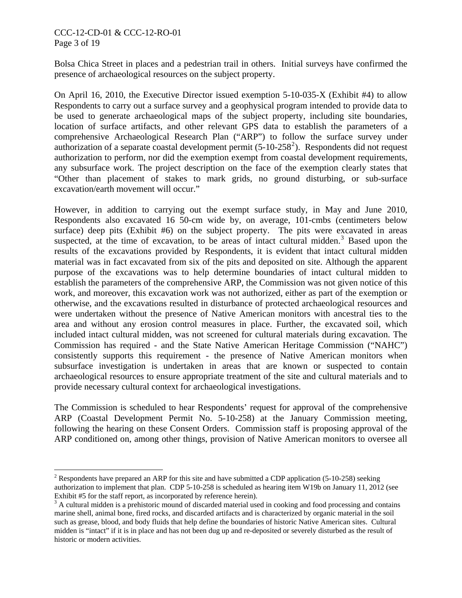### CCC-12-CD-01 & CCC-12-RO-01 Page 3 of 19

 $\overline{a}$ 

Bolsa Chica Street in places and a pedestrian trail in others. Initial surveys have confirmed the presence of archaeological resources on the subject property.

On April 16, 2010, the Executive Director issued exemption 5-10-035-X (Exhibit #4) to allow Respondents to carry out a surface survey and a geophysical program intended to provide data to be used to generate archaeological maps of the subject property, including site boundaries, location of surface artifacts, and other relevant GPS data to establish the parameters of a comprehensive Archaeological Research Plan ("ARP") to follow the surface survey under authorization of a separate coastal development permit  $(5-10-258^2)$  $(5-10-258^2)$  $(5-10-258^2)$ . Respondents did not request authorization to perform, nor did the exemption exempt from coastal development requirements, any subsurface work. The project description on the face of the exemption clearly states that "Other than placement of stakes to mark grids, no ground disturbing, or sub-surface excavation/earth movement will occur."

However, in addition to carrying out the exempt surface study, in May and June 2010, Respondents also excavated 16 50-cm wide by, on average, 101-cmbs (centimeters below surface) deep pits (Exhibit #6) on the subject property. The pits were excavated in areas suspected, at the time of excavation, to be areas of intact cultural midden.<sup>[3](#page-2-0)</sup> Based upon the results of the excavations provided by Respondents, it is evident that intact cultural midden material was in fact excavated from six of the pits and deposited on site. Although the apparent purpose of the excavations was to help determine boundaries of intact cultural midden to establish the parameters of the comprehensive ARP, the Commission was not given notice of this work, and moreover, this excavation work was not authorized, either as part of the exemption or otherwise, and the excavations resulted in disturbance of protected archaeological resources and were undertaken without the presence of Native American monitors with ancestral ties to the area and without any erosion control measures in place. Further, the excavated soil, which included intact cultural midden, was not screened for cultural materials during excavation. The Commission has required - and the State Native American Heritage Commission ("NAHC") consistently supports this requirement - the presence of Native American monitors when subsurface investigation is undertaken in areas that are known or suspected to contain archaeological resources to ensure appropriate treatment of the site and cultural materials and to provide necessary cultural context for archaeological investigations.

The Commission is scheduled to hear Respondents' request for approval of the comprehensive ARP (Coastal Development Permit No. 5-10-258) at the January Commission meeting, following the hearing on these Consent Orders. Commission staff is proposing approval of the ARP conditioned on, among other things, provision of Native American monitors to oversee all

<sup>&</sup>lt;sup>2</sup> Respondents have prepared an ARP for this site and have submitted a CDP application (5-10-258) seeking authorization to implement that plan. CDP 5-10-258 is scheduled as hearing item W19b on January 11, 2012 (see Exhibit #5 for the staff report, as incorporated by reference herein).

<span id="page-2-0"></span> $3$  A cultural midden is a prehistoric mound of discarded material used in cooking and food processing and contains marine shell, animal bone, fired rocks, and discarded artifacts and is characterized by organic material in the soil such as grease, blood, and body fluids that help define the boundaries of historic Native American sites. Cultural midden is "intact" if it is in place and has not been dug up and re-deposited or severely disturbed as the result of historic or modern activities.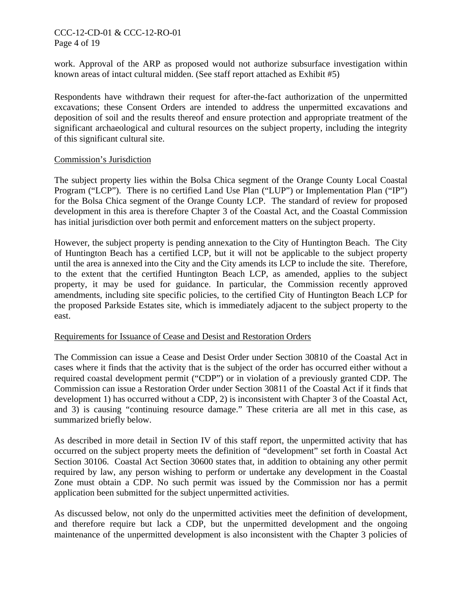## CCC-12-CD-01 & CCC-12-RO-01 Page 4 of 19

work. Approval of the ARP as proposed would not authorize subsurface investigation within known areas of intact cultural midden. (See staff report attached as Exhibit #5)

Respondents have withdrawn their request for after-the-fact authorization of the unpermitted excavations; these Consent Orders are intended to address the unpermitted excavations and deposition of soil and the results thereof and ensure protection and appropriate treatment of the significant archaeological and cultural resources on the subject property, including the integrity of this significant cultural site.

#### Commission's Jurisdiction

The subject property lies within the Bolsa Chica segment of the Orange County Local Coastal Program ("LCP"). There is no certified Land Use Plan ("LUP") or Implementation Plan ("IP") for the Bolsa Chica segment of the Orange County LCP. The standard of review for proposed development in this area is therefore Chapter 3 of the Coastal Act, and the Coastal Commission has initial jurisdiction over both permit and enforcement matters on the subject property.

However, the subject property is pending annexation to the City of Huntington Beach. The City of Huntington Beach has a certified LCP, but it will not be applicable to the subject property until the area is annexed into the City and the City amends its LCP to include the site. Therefore, to the extent that the certified Huntington Beach LCP, as amended, applies to the subject property, it may be used for guidance. In particular, the Commission recently approved amendments, including site specific policies, to the certified City of Huntington Beach LCP for the proposed Parkside Estates site, which is immediately adjacent to the subject property to the east.

#### Requirements for Issuance of Cease and Desist and Restoration Orders

The Commission can issue a Cease and Desist Order under Section 30810 of the Coastal Act in cases where it finds that the activity that is the subject of the order has occurred either without a required coastal development permit ("CDP") or in violation of a previously granted CDP. The Commission can issue a Restoration Order under Section 30811 of the Coastal Act if it finds that development 1) has occurred without a CDP, 2) is inconsistent with Chapter 3 of the Coastal Act, and 3) is causing "continuing resource damage." These criteria are all met in this case, as summarized briefly below.

As described in more detail in Section IV of this staff report, the unpermitted activity that has occurred on the subject property meets the definition of "development" set forth in Coastal Act Section 30106. Coastal Act Section 30600 states that, in addition to obtaining any other permit required by law, any person wishing to perform or undertake any development in the Coastal Zone must obtain a CDP. No such permit was issued by the Commission nor has a permit application been submitted for the subject unpermitted activities.

As discussed below, not only do the unpermitted activities meet the definition of development, and therefore require but lack a CDP, but the unpermitted development and the ongoing maintenance of the unpermitted development is also inconsistent with the Chapter 3 policies of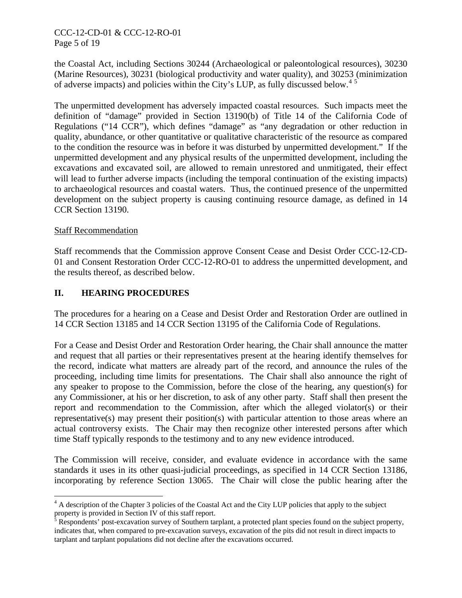# CCC-12-CD-01 & CCC-12-RO-01 Page 5 of 19

the Coastal Act, including Sections 30244 (Archaeological or paleontological resources), 30230 (Marine Resources), 30231 (biological productivity and water quality), and 30253 (minimization of adverse impacts) and policies within the City's LUP, as fully discussed below.<sup>[4](#page-2-0)[5](#page-4-0)</sup>

The unpermitted development has adversely impacted coastal resources. Such impacts meet the definition of "damage" provided in Section 13190(b) of Title 14 of the California Code of Regulations ("14 CCR"), which defines "damage" as "any degradation or other reduction in quality, abundance, or other quantitative or qualitative characteristic of the resource as compared to the condition the resource was in before it was disturbed by unpermitted development." If the unpermitted development and any physical results of the unpermitted development, including the excavations and excavated soil, are allowed to remain unrestored and unmitigated, their effect will lead to further adverse impacts (including the temporal continuation of the existing impacts) to archaeological resources and coastal waters. Thus, the continued presence of the unpermitted development on the subject property is causing continuing resource damage, as defined in 14 CCR Section 13190.

## Staff Recommendation

<span id="page-4-1"></span> $\overline{a}$ 

Staff recommends that the Commission approve Consent Cease and Desist Order CCC-12-CD-01 and Consent Restoration Order CCC-12-RO-01 to address the unpermitted development, and the results thereof, as described below.

# **II. HEARING PROCEDURES**

The procedures for a hearing on a Cease and Desist Order and Restoration Order are outlined in 14 CCR Section 13185 and 14 CCR Section 13195 of the California Code of Regulations.

For a Cease and Desist Order and Restoration Order hearing, the Chair shall announce the matter and request that all parties or their representatives present at the hearing identify themselves for the record, indicate what matters are already part of the record, and announce the rules of the proceeding, including time limits for presentations. The Chair shall also announce the right of any speaker to propose to the Commission, before the close of the hearing, any question(s) for any Commissioner, at his or her discretion, to ask of any other party. Staff shall then present the report and recommendation to the Commission, after which the alleged violator(s) or their representative(s) may present their position(s) with particular attention to those areas where an actual controversy exists. The Chair may then recognize other interested persons after which time Staff typically responds to the testimony and to any new evidence introduced.

The Commission will receive, consider, and evaluate evidence in accordance with the same standards it uses in its other quasi-judicial proceedings, as specified in 14 CCR Section 13186, incorporating by reference Section 13065. The Chair will close the public hearing after the

<sup>&</sup>lt;sup>4</sup> A description of the Chapter 3 policies of the Coastal Act and the City LUP policies that apply to the subject

<span id="page-4-0"></span>property is provided in Section IV of this staff report.<br><sup>5</sup> Respondents' post-excavation survey of Southern tarplant, a protected plant species found on the subject property, indicates that, when compared to pre-excavation surveys, excavation of the pits did not result in direct impacts to tarplant and tarplant populations did not decline after the excavations occurred.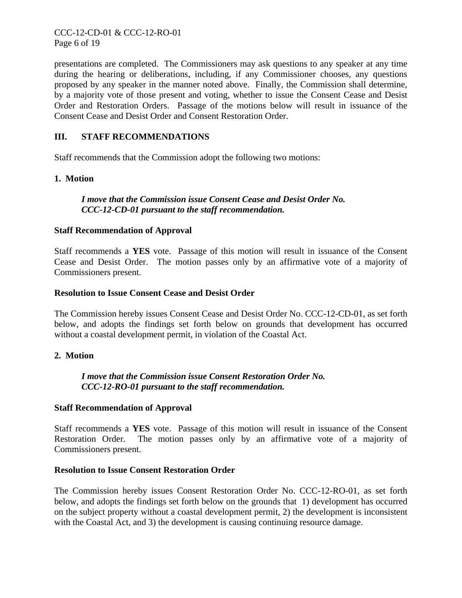presentations are completed. The Commissioners may ask questions to any speaker at any time during the hearing or deliberations, including, if any Commissioner chooses, any questions proposed by any speaker in the manner noted above. Finally, the Commission shall determine, by a majority vote of those present and voting, whether to issue the Consent Cease and Desist Order and Restoration Orders. Passage of the motions below will result in issuance of the Consent Cease and Desist Order and Consent Restoration Order.

# **III. STAFF RECOMMENDATIONS**

Staff recommends that the Commission adopt the following two motions:

## **1. Motion**

# *I move that the Commission issue Consent Cease and Desist Order No. CCC-12-CD-01 pursuant to the staff recommendation.*

## **Staff Recommendation of Approval**

Staff recommends a **YES** vote. Passage of this motion will result in issuance of the Consent Cease and Desist Order. The motion passes only by an affirmative vote of a majority of Commissioners present.

#### **Resolution to Issue Consent Cease and Desist Order**

The Commission hereby issues Consent Cease and Desist Order No. CCC-12-CD-01, as set forth below, and adopts the findings set forth below on grounds that development has occurred without a coastal development permit, in violation of the Coastal Act.

#### **2. Motion**

*I move that the Commission issue Consent Restoration Order No. CCC-12-RO-01 pursuant to the staff recommendation.*

#### **Staff Recommendation of Approval**

Staff recommends a **YES** vote. Passage of this motion will result in issuance of the Consent Restoration Order. The motion passes only by an affirmative vote of a majority of Commissioners present.

#### **Resolution to Issue Consent Restoration Order**

The Commission hereby issues Consent Restoration Order No. CCC-12-RO-01, as set forth below, and adopts the findings set forth below on the grounds that 1) development has occurred on the subject property without a coastal development permit, 2) the development is inconsistent with the Coastal Act, and 3) the development is causing continuing resource damage.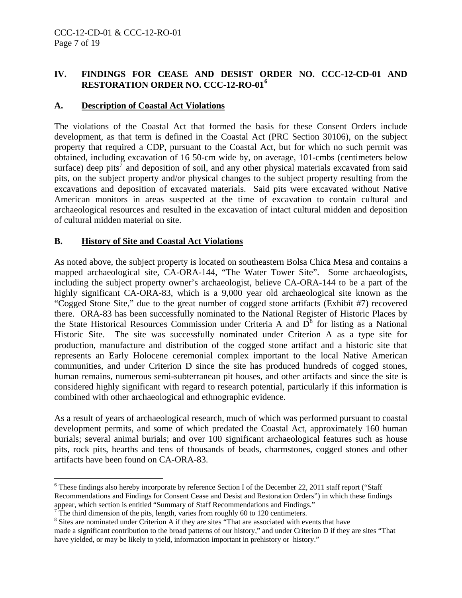# **IV. FINDINGS FOR CEASE AND DESIST ORDER NO. CCC-12-CD-01 AND RESTORATION ORDER NO. CCC-12-RO-01[6](#page-4-1)**

# **A. Description of Coastal Act Violations**

The violations of the Coastal Act that formed the basis for these Consent Orders include development, as that term is defined in the Coastal Act (PRC Section 30106), on the subject property that required a CDP, pursuant to the Coastal Act, but for which no such permit was obtained, including excavation of 16 50-cm wide by, on average, 101-cmbs (centimeters below surface) deep pits<sup> $\bar{\tau}$ </sup> and deposition of soil, and any other physical materials excavated from said pits, on the subject property and/or physical changes to the subject property resulting from the excavations and deposition of excavated materials. Said pits were excavated without Native American monitors in areas suspected at the time of excavation to contain cultural and archaeological resources and resulted in the excavation of intact cultural midden and deposition of cultural midden material on site.

## **B. History of Site and Coastal Act Violations**

As noted above, the subject property is located on southeastern Bolsa Chica Mesa and contains a mapped archaeological site, CA-ORA-144, "The Water Tower Site". Some archaeologists, including the subject property owner's archaeologist, believe CA-ORA-144 to be a part of the highly significant CA-ORA-83, which is a 9,000 year old archaeological site known as the "Cogged Stone Site," due to the great number of cogged stone artifacts (Exhibit #7) recovered there. ORA-83 has been successfully nominated to the National Register of Historic Places by the State Historical Resources Commission under Criteria A and  $D^8$  $D^8$  for listing as a National Historic Site. The site was successfully nominated under Criterion A as a type site for production, manufacture and distribution of the cogged stone artifact and a historic site that represents an Early Holocene ceremonial complex important to the local Native American communities, and under Criterion D since the site has produced hundreds of cogged stones, human remains, numerous semi-subterranean pit houses, and other artifacts and since the site is considered highly significant with regard to research potential, particularly if this information is combined with other archaeological and ethnographic evidence.

As a result of years of archaeological research, much of which was performed pursuant to coastal development permits, and some of which predated the Coastal Act, approximately 160 human burials; several animal burials; and over 100 significant archaeological features such as house pits, rock pits, hearths and tens of thousands of beads, charmstones, cogged stones and other artifacts have been found on CA-ORA-83.

 $\overline{a}$ <sup>6</sup> These findings also hereby incorporate by reference Section I of the December 22, 2011 staff report ("Staff Recommendations and Findings for Consent Cease and Desist and Restoration Orders") in which these findings appear, which section is entitled "Summary of Staff Recommendations and Findings."  $7$  The third dimension of the pits, length, varies from roughly 60 to 120 centimeters.

<span id="page-6-2"></span><span id="page-6-0"></span>

<span id="page-6-1"></span><sup>&</sup>lt;sup>8</sup> Sites are nominated under Criterion A if they are sites "That are associated with events that have made a significant contribution to the broad patterns of our history," and under Criterion D if they are sites "That have yielded, or may be likely to yield, information important in prehistory or history."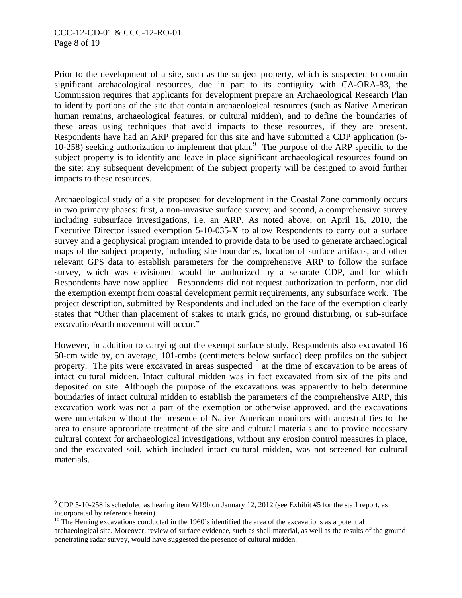$\overline{a}$ 

Prior to the development of a site, such as the subject property, which is suspected to contain significant archaeological resources, due in part to its contiguity with CA-ORA-83, the Commission requires that applicants for development prepare an Archaeological Research Plan to identify portions of the site that contain archaeological resources (such as Native American human remains, archaeological features, or cultural midden), and to define the boundaries of these areas using techniques that avoid impacts to these resources, if they are present. Respondents have had an ARP prepared for this site and have submitted a CDP application (5- 10-258) seeking authorization to implement that plan.<sup>[9](#page-6-2)</sup> The purpose of the ARP specific to the subject property is to identify and leave in place significant archaeological resources found on the site; any subsequent development of the subject property will be designed to avoid further impacts to these resources.

Archaeological study of a site proposed for development in the Coastal Zone commonly occurs in two primary phases: first, a non-invasive surface survey; and second, a comprehensive survey including subsurface investigations, i.e. an ARP. As noted above, on April 16, 2010, the Executive Director issued exemption 5-10-035-X to allow Respondents to carry out a surface survey and a geophysical program intended to provide data to be used to generate archaeological maps of the subject property, including site boundaries, location of surface artifacts, and other relevant GPS data to establish parameters for the comprehensive ARP to follow the surface survey, which was envisioned would be authorized by a separate CDP, and for which Respondents have now applied. Respondents did not request authorization to perform, nor did the exemption exempt from coastal development permit requirements, any subsurface work. The project description, submitted by Respondents and included on the face of the exemption clearly states that "Other than placement of stakes to mark grids, no ground disturbing, or sub-surface excavation/earth movement will occur."

However, in addition to carrying out the exempt surface study, Respondents also excavated 16 50-cm wide by, on average, 101-cmbs (centimeters below surface) deep profiles on the subject property. The pits were excavated in areas suspected<sup>[10](#page-7-0)</sup> at the time of excavation to be areas of intact cultural midden. Intact cultural midden was in fact excavated from six of the pits and deposited on site. Although the purpose of the excavations was apparently to help determine boundaries of intact cultural midden to establish the parameters of the comprehensive ARP, this excavation work was not a part of the exemption or otherwise approved, and the excavations were undertaken without the presence of Native American monitors with ancestral ties to the area to ensure appropriate treatment of the site and cultural materials and to provide necessary cultural context for archaeological investigations, without any erosion control measures in place, and the excavated soil, which included intact cultural midden, was not screened for cultural materials.

 $9^9$  CDP 5-10-258 is scheduled as hearing item W19b on January 12, 2012 (see Exhibit #5 for the staff report, as incorporated by reference herein).

<span id="page-7-0"></span> $10$  The Herring excavations conducted in the 1960's identified the area of the excavations as a potential archaeological site. Moreover, review of surface evidence, such as shell material, as well as the results of the ground penetrating radar survey, would have suggested the presence of cultural midden.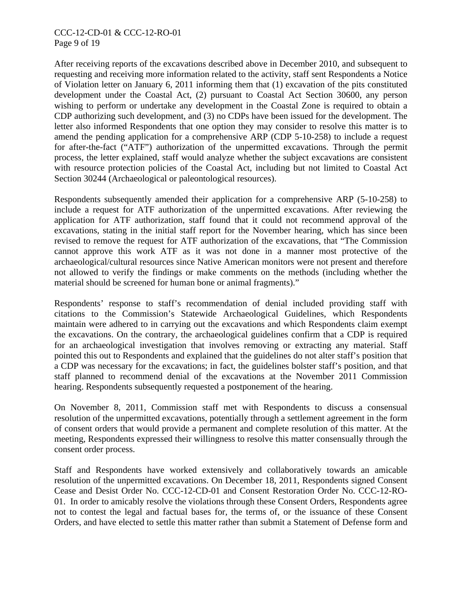### CCC-12-CD-01 & CCC-12-RO-01 Page 9 of 19

After receiving reports of the excavations described above in December 2010, and subsequent to requesting and receiving more information related to the activity, staff sent Respondents a Notice of Violation letter on January 6, 2011 informing them that (1) excavation of the pits constituted development under the Coastal Act, (2) pursuant to Coastal Act Section 30600, any person wishing to perform or undertake any development in the Coastal Zone is required to obtain a CDP authorizing such development, and (3) no CDPs have been issued for the development. The letter also informed Respondents that one option they may consider to resolve this matter is to amend the pending application for a comprehensive ARP (CDP 5-10-258) to include a request for after-the-fact ("ATF") authorization of the unpermitted excavations. Through the permit process, the letter explained, staff would analyze whether the subject excavations are consistent with resource protection policies of the Coastal Act, including but not limited to Coastal Act Section 30244 (Archaeological or paleontological resources).

Respondents subsequently amended their application for a comprehensive ARP (5-10-258) to include a request for ATF authorization of the unpermitted excavations. After reviewing the application for ATF authorization, staff found that it could not recommend approval of the excavations, stating in the initial staff report for the November hearing, which has since been revised to remove the request for ATF authorization of the excavations, that "The Commission cannot approve this work ATF as it was not done in a manner most protective of the archaeological/cultural resources since Native American monitors were not present and therefore not allowed to verify the findings or make comments on the methods (including whether the material should be screened for human bone or animal fragments)."

Respondents' response to staff's recommendation of denial included providing staff with citations to the Commission's Statewide Archaeological Guidelines, which Respondents maintain were adhered to in carrying out the excavations and which Respondents claim exempt the excavations. On the contrary, the archaeological guidelines confirm that a CDP is required for an archaeological investigation that involves removing or extracting any material. Staff pointed this out to Respondents and explained that the guidelines do not alter staff's position that a CDP was necessary for the excavations; in fact, the guidelines bolster staff's position, and that staff planned to recommend denial of the excavations at the November 2011 Commission hearing. Respondents subsequently requested a postponement of the hearing.

On November 8, 2011, Commission staff met with Respondents to discuss a consensual resolution of the unpermitted excavations, potentially through a settlement agreement in the form of consent orders that would provide a permanent and complete resolution of this matter. At the meeting, Respondents expressed their willingness to resolve this matter consensually through the consent order process.

Staff and Respondents have worked extensively and collaboratively towards an amicable resolution of the unpermitted excavations. On December 18, 2011, Respondents signed Consent Cease and Desist Order No. CCC-12-CD-01 and Consent Restoration Order No. CCC-12-RO-01. In order to amicably resolve the violations through these Consent Orders, Respondents agree not to contest the legal and factual bases for, the terms of, or the issuance of these Consent Orders, and have elected to settle this matter rather than submit a Statement of Defense form and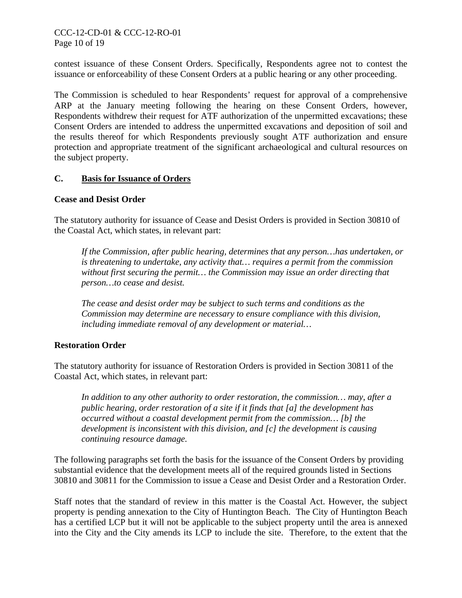# CCC-12-CD-01 & CCC-12-RO-01 Page 10 of 19

contest issuance of these Consent Orders. Specifically, Respondents agree not to contest the issuance or enforceability of these Consent Orders at a public hearing or any other proceeding.

The Commission is scheduled to hear Respondents' request for approval of a comprehensive ARP at the January meeting following the hearing on these Consent Orders, however, Respondents withdrew their request for ATF authorization of the unpermitted excavations; these Consent Orders are intended to address the unpermitted excavations and deposition of soil and the results thereof for which Respondents previously sought ATF authorization and ensure protection and appropriate treatment of the significant archaeological and cultural resources on the subject property.

#### **C. Basis for Issuance of Orders**

#### **Cease and Desist Order**

The statutory authority for issuance of Cease and Desist Orders is provided in Section 30810 of the Coastal Act, which states, in relevant part:

*If the Commission, after public hearing, determines that any person…has undertaken, or is threatening to undertake, any activity that… requires a permit from the commission without first securing the permit… the Commission may issue an order directing that person…to cease and desist.* 

*The cease and desist order may be subject to such terms and conditions as the Commission may determine are necessary to ensure compliance with this division, including immediate removal of any development or material…* 

# **Restoration Order**

The statutory authority for issuance of Restoration Orders is provided in Section 30811 of the Coastal Act, which states, in relevant part:

*In addition to any other authority to order restoration, the commission… may, after a public hearing, order restoration of a site if it finds that [a] the development has occurred without a coastal development permit from the commission… [b] the development is inconsistent with this division, and [c] the development is causing continuing resource damage.* 

The following paragraphs set forth the basis for the issuance of the Consent Orders by providing substantial evidence that the development meets all of the required grounds listed in Sections 30810 and 30811 for the Commission to issue a Cease and Desist Order and a Restoration Order.

Staff notes that the standard of review in this matter is the Coastal Act. However, the subject property is pending annexation to the City of Huntington Beach. The City of Huntington Beach has a certified LCP but it will not be applicable to the subject property until the area is annexed into the City and the City amends its LCP to include the site. Therefore, to the extent that the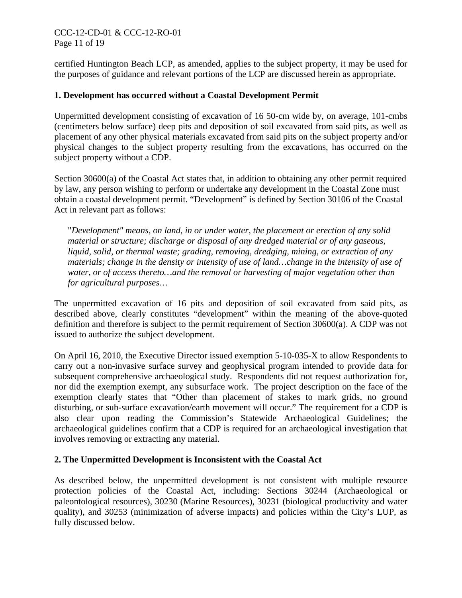# CCC-12-CD-01 & CCC-12-RO-01 Page 11 of 19

certified Huntington Beach LCP, as amended, applies to the subject property, it may be used for the purposes of guidance and relevant portions of the LCP are discussed herein as appropriate.

## **1. Development has occurred without a Coastal Development Permit**

Unpermitted development consisting of excavation of 16 50-cm wide by, on average, 101-cmbs (centimeters below surface) deep pits and deposition of soil excavated from said pits, as well as placement of any other physical materials excavated from said pits on the subject property and/or physical changes to the subject property resulting from the excavations, has occurred on the subject property without a CDP.

Section 30600(a) of the Coastal Act states that, in addition to obtaining any other permit required by law, any person wishing to perform or undertake any development in the Coastal Zone must obtain a coastal development permit. "Development" is defined by Section 30106 of the Coastal Act in relevant part as follows:

"*Development" means, on land, in or under water, the placement or erection of any solid material or structure; discharge or disposal of any dredged material or of any gaseous, liquid, solid, or thermal waste; grading, removing, dredging, mining, or extraction of any materials; change in the density or intensity of use of land…change in the intensity of use of water, or of access thereto…and the removal or harvesting of major vegetation other than for agricultural purposes…* 

The unpermitted excavation of 16 pits and deposition of soil excavated from said pits, as described above, clearly constitutes "development" within the meaning of the above-quoted definition and therefore is subject to the permit requirement of Section 30600(a). A CDP was not issued to authorize the subject development.

On April 16, 2010, the Executive Director issued exemption 5-10-035-X to allow Respondents to carry out a non-invasive surface survey and geophysical program intended to provide data for subsequent comprehensive archaeological study. Respondents did not request authorization for, nor did the exemption exempt, any subsurface work. The project description on the face of the exemption clearly states that "Other than placement of stakes to mark grids, no ground disturbing, or sub-surface excavation/earth movement will occur." The requirement for a CDP is also clear upon reading the Commission's Statewide Archaeological Guidelines; the archaeological guidelines confirm that a CDP is required for an archaeological investigation that involves removing or extracting any material.

#### **2. The Unpermitted Development is Inconsistent with the Coastal Act**

As described below, the unpermitted development is not consistent with multiple resource protection policies of the Coastal Act, including: Sections 30244 (Archaeological or paleontological resources), 30230 (Marine Resources), 30231 (biological productivity and water quality), and 30253 (minimization of adverse impacts) and policies within the City's LUP, as fully discussed below.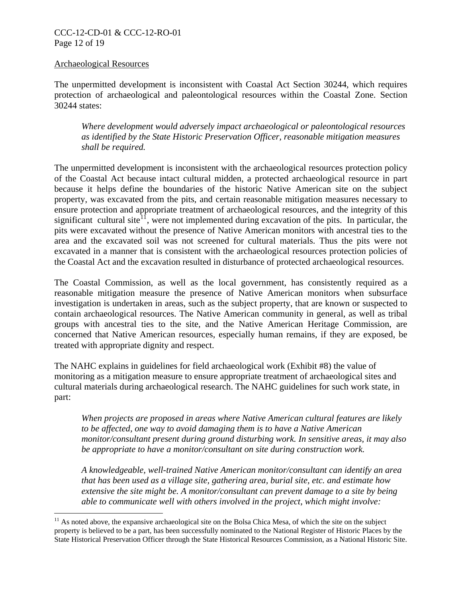## CCC-12-CD-01 & CCC-12-RO-01 Page 12 of 19

#### Archaeological Resources

 $\overline{a}$ 

The unpermitted development is inconsistent with Coastal Act Section 30244, which requires protection of archaeological and paleontological resources within the Coastal Zone. Section 30244 states:

*Where development would adversely impact archaeological or paleontological resources as identified by the State Historic Preservation Officer, reasonable mitigation measures shall be required.* 

The unpermitted development is inconsistent with the archaeological resources protection policy of the Coastal Act because intact cultural midden, a protected archaeological resource in part because it helps define the boundaries of the historic Native American site on the subject property, was excavated from the pits, and certain reasonable mitigation measures necessary to ensure protection and appropriate treatment of archaeological resources, and the integrity of this significant cultural site<sup>[11](#page-7-0)</sup>, were not implemented during excavation of the pits. In particular, the pits were excavated without the presence of Native American monitors with ancestral ties to the area and the excavated soil was not screened for cultural materials. Thus the pits were not excavated in a manner that is consistent with the archaeological resources protection policies of the Coastal Act and the excavation resulted in disturbance of protected archaeological resources.

The Coastal Commission, as well as the local government, has consistently required as a reasonable mitigation measure the presence of Native American monitors when subsurface investigation is undertaken in areas, such as the subject property, that are known or suspected to contain archaeological resources. The Native American community in general, as well as tribal groups with ancestral ties to the site, and the Native American Heritage Commission, are concerned that Native American resources, especially human remains, if they are exposed, be treated with appropriate dignity and respect.

The NAHC explains in guidelines for field archaeological work (Exhibit #8) the value of monitoring as a mitigation measure to ensure appropriate treatment of archaeological sites and cultural materials during archaeological research. The NAHC guidelines for such work state, in part:

*When projects are proposed in areas where Native American cultural features are likely to be affected, one way to avoid damaging them is to have a Native American monitor/consultant present during ground disturbing work. In sensitive areas, it may also be appropriate to have a monitor/consultant on site during construction work.* 

*A knowledgeable, well-trained Native American monitor/consultant can identify an area that has been used as a village site, gathering area, burial site, etc. and estimate how extensive the site might be. A monitor/consultant can prevent damage to a site by being able to communicate well with others involved in the project, which might involve:* 

<sup>&</sup>lt;sup>11</sup> As noted above, the expansive archaeological site on the Bolsa Chica Mesa, of which the site on the subject property is believed to be a part, has been successfully nominated to the National Register of Historic Places by the State Historical Preservation Officer through the State Historical Resources Commission, as a National Historic Site.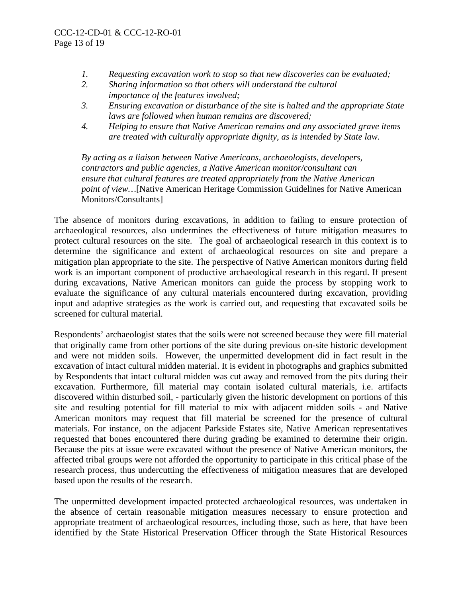- *1. Requesting excavation work to stop so that new discoveries can be evaluated;*
- *2. Sharing information so that others will understand the cultural importance of the features involved;*
- *3. Ensuring excavation or disturbance of the site is halted and the appropriate State laws are followed when human remains are discovered;*
- *4. Helping to ensure that Native American remains and any associated grave items are treated with culturally appropriate dignity, as is intended by State law.*

*By acting as a liaison between Native Americans, archaeologists, developers, contractors and public agencies, a Native American monitor/consultant can ensure that cultural features are treated appropriately from the Native American point of view…*[Native American Heritage Commission Guidelines for Native American Monitors/Consultants]

The absence of monitors during excavations, in addition to failing to ensure protection of archaeological resources, also undermines the effectiveness of future mitigation measures to protect cultural resources on the site. The goal of archaeological research in this context is to determine the significance and extent of archaeological resources on site and prepare a mitigation plan appropriate to the site. The perspective of Native American monitors during field work is an important component of productive archaeological research in this regard. If present during excavations, Native American monitors can guide the process by stopping work to evaluate the significance of any cultural materials encountered during excavation, providing input and adaptive strategies as the work is carried out, and requesting that excavated soils be screened for cultural material.

Respondents' archaeologist states that the soils were not screened because they were fill material that originally came from other portions of the site during previous on-site historic development and were not midden soils. However, the unpermitted development did in fact result in the excavation of intact cultural midden material. It is evident in photographs and graphics submitted by Respondents that intact cultural midden was cut away and removed from the pits during their excavation. Furthermore, fill material may contain isolated cultural materials, i.e. artifacts discovered within disturbed soil, - particularly given the historic development on portions of this site and resulting potential for fill material to mix with adjacent midden soils - and Native American monitors may request that fill material be screened for the presence of cultural materials. For instance, on the adjacent Parkside Estates site, Native American representatives requested that bones encountered there during grading be examined to determine their origin. Because the pits at issue were excavated without the presence of Native American monitors, the affected tribal groups were not afforded the opportunity to participate in this critical phase of the research process, thus undercutting the effectiveness of mitigation measures that are developed based upon the results of the research.

The unpermitted development impacted protected archaeological resources, was undertaken in the absence of certain reasonable mitigation measures necessary to ensure protection and appropriate treatment of archaeological resources, including those, such as here, that have been identified by the State Historical Preservation Officer through the State Historical Resources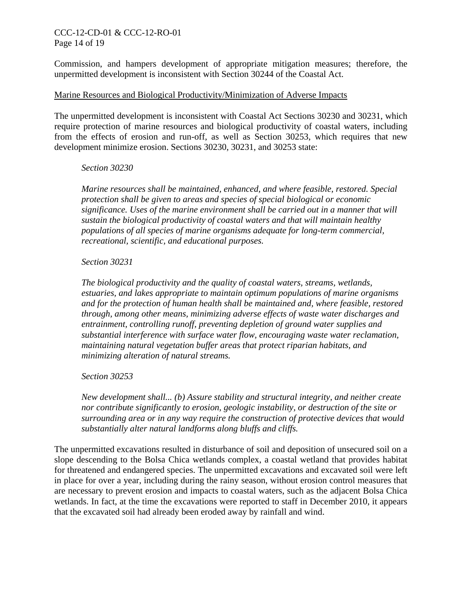### CCC-12-CD-01 & CCC-12-RO-01 Page 14 of 19

Commission, and hampers development of appropriate mitigation measures; therefore, the unpermitted development is inconsistent with Section 30244 of the Coastal Act.

#### Marine Resources and Biological Productivity/Minimization of Adverse Impacts

The unpermitted development is inconsistent with Coastal Act Sections 30230 and 30231, which require protection of marine resources and biological productivity of coastal waters, including from the effects of erosion and run-off, as well as Section 30253, which requires that new development minimize erosion. Sections 30230, 30231, and 30253 state:

#### *Section 30230*

*Marine resources shall be maintained, enhanced, and where feasible, restored. Special protection shall be given to areas and species of special biological or economic significance. Uses of the marine environment shall be carried out in a manner that will sustain the biological productivity of coastal waters and that will maintain healthy populations of all species of marine organisms adequate for long-term commercial, recreational, scientific, and educational purposes.* 

#### *Section 30231*

*The biological productivity and the quality of coastal waters, streams, wetlands, estuaries, and lakes appropriate to maintain optimum populations of marine organisms and for the protection of human health shall be maintained and, where feasible, restored through, among other means, minimizing adverse effects of waste water discharges and entrainment, controlling runoff, preventing depletion of ground water supplies and substantial interference with surface water flow, encouraging waste water reclamation, maintaining natural vegetation buffer areas that protect riparian habitats, and minimizing alteration of natural streams.* 

*Section 30253* 

*New development shall... (b) Assure stability and structural integrity, and neither create nor contribute significantly to erosion, geologic instability, or destruction of the site or surrounding area or in any way require the construction of protective devices that would substantially alter natural landforms along bluffs and cliffs.* 

The unpermitted excavations resulted in disturbance of soil and deposition of unsecured soil on a slope descending to the Bolsa Chica wetlands complex, a coastal wetland that provides habitat for threatened and endangered species. The unpermitted excavations and excavated soil were left in place for over a year, including during the rainy season, without erosion control measures that are necessary to prevent erosion and impacts to coastal waters, such as the adjacent Bolsa Chica wetlands. In fact, at the time the excavations were reported to staff in December 2010, it appears that the excavated soil had already been eroded away by rainfall and wind.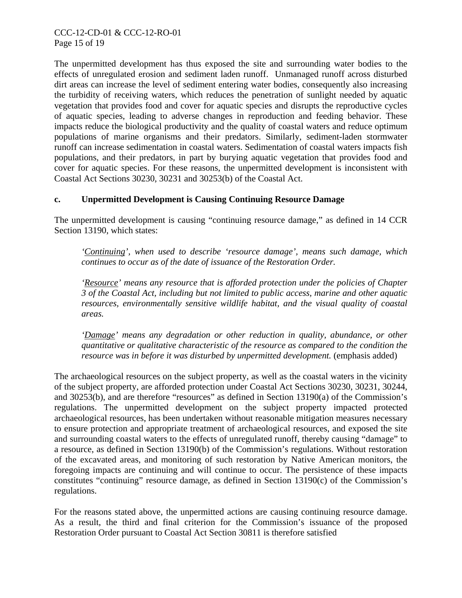The unpermitted development has thus exposed the site and surrounding water bodies to the effects of unregulated erosion and sediment laden runoff. Unmanaged runoff across disturbed dirt areas can increase the level of sediment entering water bodies, consequently also increasing the turbidity of receiving waters, which reduces the penetration of sunlight needed by aquatic vegetation that provides food and cover for aquatic species and disrupts the reproductive cycles of aquatic species, leading to adverse changes in reproduction and feeding behavior. These impacts reduce the biological productivity and the quality of coastal waters and reduce optimum populations of marine organisms and their predators. Similarly, sediment-laden stormwater runoff can increase sedimentation in coastal waters. Sedimentation of coastal waters impacts fish populations, and their predators, in part by burying aquatic vegetation that provides food and cover for aquatic species. For these reasons, the unpermitted development is inconsistent with Coastal Act Sections 30230, 30231 and 30253(b) of the Coastal Act.

## **c. Unpermitted Development is Causing Continuing Resource Damage**

The unpermitted development is causing "continuing resource damage," as defined in 14 CCR Section 13190, which states:

*'Continuing', when used to describe 'resource damage', means such damage, which continues to occur as of the date of issuance of the Restoration Order.* 

*'Resource' means any resource that is afforded protection under the policies of Chapter 3 of the Coastal Act, including but not limited to public access, marine and other aquatic resources, environmentally sensitive wildlife habitat, and the visual quality of coastal areas.* 

*'Damage' means any degradation or other reduction in quality, abundance, or other quantitative or qualitative characteristic of the resource as compared to the condition the*  resource was in before it was disturbed by unpermitted development. (emphasis added)

The archaeological resources on the subject property, as well as the coastal waters in the vicinity of the subject property, are afforded protection under Coastal Act Sections 30230, 30231, 30244, and 30253(b), and are therefore "resources" as defined in Section 13190(a) of the Commission's regulations. The unpermitted development on the subject property impacted protected archaeological resources, has been undertaken without reasonable mitigation measures necessary to ensure protection and appropriate treatment of archaeological resources, and exposed the site and surrounding coastal waters to the effects of unregulated runoff, thereby causing "damage" to a resource, as defined in Section 13190(b) of the Commission's regulations. Without restoration of the excavated areas, and monitoring of such restoration by Native American monitors, the foregoing impacts are continuing and will continue to occur. The persistence of these impacts constitutes "continuing" resource damage, as defined in Section 13190(c) of the Commission's regulations.

For the reasons stated above, the unpermitted actions are causing continuing resource damage. As a result, the third and final criterion for the Commission's issuance of the proposed Restoration Order pursuant to Coastal Act Section 30811 is therefore satisfied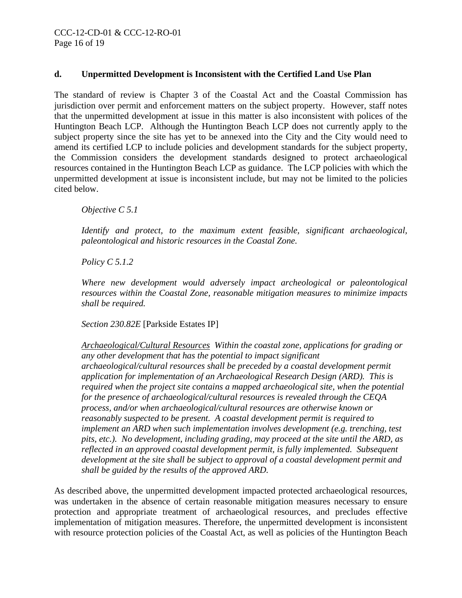# **d. Unpermitted Development is Inconsistent with the Certified Land Use Plan**

The standard of review is Chapter 3 of the Coastal Act and the Coastal Commission has jurisdiction over permit and enforcement matters on the subject property. However, staff notes that the unpermitted development at issue in this matter is also inconsistent with polices of the Huntington Beach LCP. Although the Huntington Beach LCP does not currently apply to the subject property since the site has yet to be annexed into the City and the City would need to amend its certified LCP to include policies and development standards for the subject property, the Commission considers the development standards designed to protect archaeological resources contained in the Huntington Beach LCP as guidance. The LCP policies with which the unpermitted development at issue is inconsistent include, but may not be limited to the policies cited below.

*Objective C 5.1* 

*Identify and protect, to the maximum extent feasible, significant archaeological, paleontological and historic resources in the Coastal Zone.* 

*Policy C 5.1.2* 

*Where new development would adversely impact archeological or paleontological resources within the Coastal Zone, reasonable mitigation measures to minimize impacts shall be required.* 

*Section 230.82E* [Parkside Estates IP]

*Archaeological/Cultural Resources Within the coastal zone, applications for grading or any other development that has the potential to impact significant archaeological/cultural resources shall be preceded by a coastal development permit application for implementation of an Archaeological Research Design (ARD). This is required when the project site contains a mapped archaeological site, when the potential for the presence of archaeological/cultural resources is revealed through the CEQA process, and/or when archaeological/cultural resources are otherwise known or reasonably suspected to be present. A coastal development permit is required to implement an ARD when such implementation involves development (e.g. trenching, test pits, etc.). No development, including grading, may proceed at the site until the ARD, as reflected in an approved coastal development permit, is fully implemented. Subsequent development at the site shall be subject to approval of a coastal development permit and shall be guided by the results of the approved ARD.* 

As described above, the unpermitted development impacted protected archaeological resources, was undertaken in the absence of certain reasonable mitigation measures necessary to ensure protection and appropriate treatment of archaeological resources, and precludes effective implementation of mitigation measures. Therefore, the unpermitted development is inconsistent with resource protection policies of the Coastal Act, as well as policies of the Huntington Beach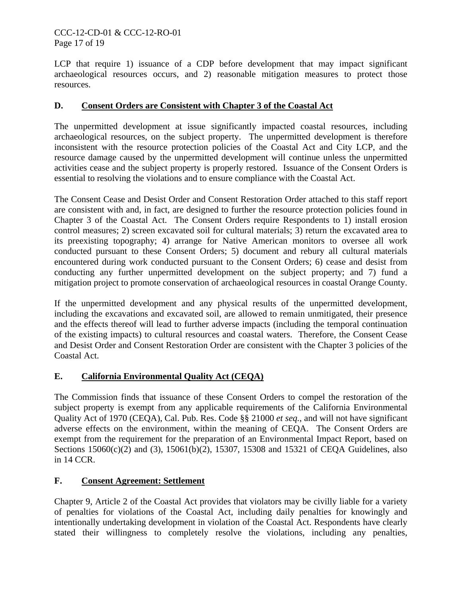# CCC-12-CD-01 & CCC-12-RO-01 Page 17 of 19

LCP that require 1) issuance of a CDP before development that may impact significant archaeological resources occurs, and 2) reasonable mitigation measures to protect those resources.

# **D. Consent Orders are Consistent with Chapter 3 of the Coastal Act**

The unpermitted development at issue significantly impacted coastal resources, including archaeological resources, on the subject property. The unpermitted development is therefore inconsistent with the resource protection policies of the Coastal Act and City LCP, and the resource damage caused by the unpermitted development will continue unless the unpermitted activities cease and the subject property is properly restored. Issuance of the Consent Orders is essential to resolving the violations and to ensure compliance with the Coastal Act.

The Consent Cease and Desist Order and Consent Restoration Order attached to this staff report are consistent with and, in fact, are designed to further the resource protection policies found in Chapter 3 of the Coastal Act. The Consent Orders require Respondents to 1) install erosion control measures; 2) screen excavated soil for cultural materials; 3) return the excavated area to its preexisting topography; 4) arrange for Native American monitors to oversee all work conducted pursuant to these Consent Orders; 5) document and rebury all cultural materials encountered during work conducted pursuant to the Consent Orders; 6) cease and desist from conducting any further unpermitted development on the subject property; and 7) fund a mitigation project to promote conservation of archaeological resources in coastal Orange County.

If the unpermitted development and any physical results of the unpermitted development, including the excavations and excavated soil, are allowed to remain unmitigated, their presence and the effects thereof will lead to further adverse impacts (including the temporal continuation of the existing impacts) to cultural resources and coastal waters. Therefore, the Consent Cease and Desist Order and Consent Restoration Order are consistent with the Chapter 3 policies of the Coastal Act.

# **E. California Environmental Quality Act (CEQA)**

The Commission finds that issuance of these Consent Orders to compel the restoration of the subject property is exempt from any applicable requirements of the California Environmental Quality Act of 1970 (CEQA), Cal. Pub. Res. Code §§ 21000 *et seq.*, and will not have significant adverse effects on the environment, within the meaning of CEQA. The Consent Orders are exempt from the requirement for the preparation of an Environmental Impact Report, based on Sections 15060(c)(2) and (3), 15061(b)(2), 15307, 15308 and 15321 of CEQA Guidelines, also in 14 CCR.

# **F. Consent Agreement: Settlement**

Chapter 9, Article 2 of the Coastal Act provides that violators may be civilly liable for a variety of penalties for violations of the Coastal Act, including daily penalties for knowingly and intentionally undertaking development in violation of the Coastal Act. Respondents have clearly stated their willingness to completely resolve the violations, including any penalties,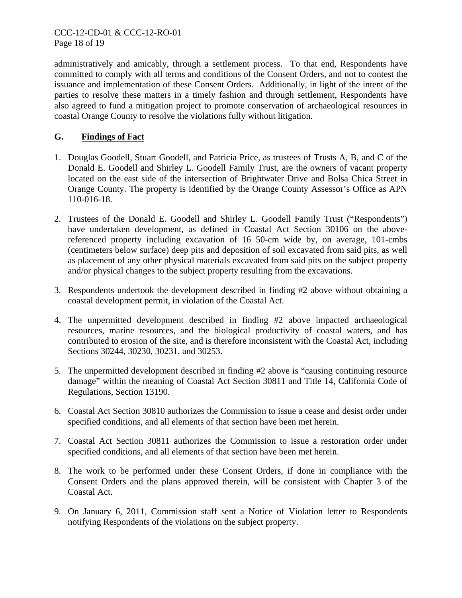administratively and amicably, through a settlement process. To that end, Respondents have committed to comply with all terms and conditions of the Consent Orders, and not to contest the issuance and implementation of these Consent Orders. Additionally, in light of the intent of the parties to resolve these matters in a timely fashion and through settlement, Respondents have also agreed to fund a mitigation project to promote conservation of archaeological resources in coastal Orange County to resolve the violations fully without litigation.

# **G. Findings of Fact**

- 1. Douglas Goodell, Stuart Goodell, and Patricia Price, as trustees of Trusts A, B, and C of the Donald E. Goodell and Shirley L. Goodell Family Trust, are the owners of vacant property located on the east side of the intersection of Brightwater Drive and Bolsa Chica Street in Orange County. The property is identified by the Orange County Assessor's Office as APN 110-016-18.
- 2. Trustees of the Donald E. Goodell and Shirley L. Goodell Family Trust ("Respondents") have undertaken development, as defined in Coastal Act Section 30106 on the abovereferenced property including excavation of 16 50-cm wide by, on average, 101-cmbs (centimeters below surface) deep pits and deposition of soil excavated from said pits, as well as placement of any other physical materials excavated from said pits on the subject property and/or physical changes to the subject property resulting from the excavations.
- 3. Respondents undertook the development described in finding #2 above without obtaining a coastal development permit, in violation of the Coastal Act.
- 4. The unpermitted development described in finding #2 above impacted archaeological resources, marine resources, and the biological productivity of coastal waters, and has contributed to erosion of the site, and is therefore inconsistent with the Coastal Act, including Sections 30244, 30230, 30231, and 30253.
- 5. The unpermitted development described in finding #2 above is "causing continuing resource damage" within the meaning of Coastal Act Section 30811 and Title 14, California Code of Regulations, Section 13190.
- 6. Coastal Act Section 30810 authorizes the Commission to issue a cease and desist order under specified conditions, and all elements of that section have been met herein.
- 7. Coastal Act Section 30811 authorizes the Commission to issue a restoration order under specified conditions, and all elements of that section have been met herein.
- 8. The work to be performed under these Consent Orders, if done in compliance with the Consent Orders and the plans approved therein, will be consistent with Chapter 3 of the Coastal Act.
- <span id="page-17-0"></span>9. On January 6, 2011, Commission staff sent a Notice of Violation letter to Respondents notifying Respondents of the violations on the subject property.